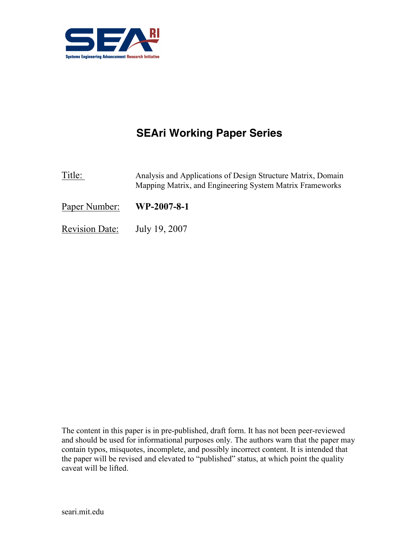

# SEAri Working Paper Series

Title: Analysis and Applications of Design Structure Matrix, Domain Mapping Matrix, and Engineering System Matrix Frameworks

Paper Number: WP-2007-8-1

Revision Date: July 19, 2007

The content in this paper is in pre-published, draft form. It has not been peer-reviewed and should be used for informational purposes only. The authors warn that the paper may contain typos, misquotes, incomplete, and possibly incorrect content. It is intended that the paper will be revised and elevated to "published" status, at which point the quality caveat will be lifted.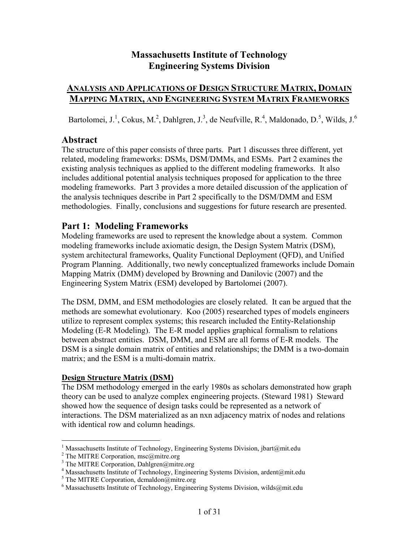# Massachusetts Institute of Technology Engineering Systems Division

# ANALYSIS AND APPLICATIONS OF DESIGN STRUCTURE MATRIX, DOMAIN MAPPING MATRIX, AND ENGINEERING SYSTEM MATRIX FRAMEWORKS

Bartolomei, J.<sup>1</sup>, Cokus, M.<sup>2</sup>, Dahlgren, J.<sup>3</sup>, de Neufville, R.<sup>4</sup>, Maldonado, D.<sup>5</sup>, Wilds, J.<sup>6</sup>

# Abstract

The structure of this paper consists of three parts. Part 1 discusses three different, yet related, modeling frameworks: DSMs, DSM/DMMs, and ESMs. Part 2 examines the existing analysis techniques as applied to the different modeling frameworks. It also includes additional potential analysis techniques proposed for application to the three modeling frameworks. Part 3 provides a more detailed discussion of the application of the analysis techniques describe in Part 2 specifically to the DSM/DMM and ESM methodologies. Finally, conclusions and suggestions for future research are presented.

# Part 1: Modeling Frameworks

Modeling frameworks are used to represent the knowledge about a system. Common modeling frameworks include axiomatic design, the Design System Matrix (DSM), system architectural frameworks, Quality Functional Deployment (QFD), and Unified Program Planning. Additionally, two newly conceptualized frameworks include Domain Mapping Matrix (DMM) developed by Browning and Danilovic (2007) and the Engineering System Matrix (ESM) developed by Bartolomei (2007).

The DSM, DMM, and ESM methodologies are closely related. It can be argued that the methods are somewhat evolutionary. Koo (2005) researched types of models engineers utilize to represent complex systems; this research included the Entity-Relationship Modeling (E-R Modeling). The E-R model applies graphical formalism to relations between abstract entities. DSM, DMM, and ESM are all forms of E-R models. The DSM is a single domain matrix of entities and relationships; the DMM is a two-domain matrix; and the ESM is a multi-domain matrix.

#### Design Structure Matrix (DSM)

The DSM methodology emerged in the early 1980s as scholars demonstrated how graph theory can be used to analyze complex engineering projects. (Steward 1981) Steward showed how the sequence of design tasks could be represented as a network of interactions. The DSM materialized as an nxn adjacency matrix of nodes and relations with identical row and column headings.

<sup>&</sup>lt;sup>1</sup> Massachusetts Institute of Technology, Engineering Systems Division, jbart@mit.edu

<sup>&</sup>lt;sup>2</sup> The MITRE Corporation, msc@mitre.org

<sup>&</sup>lt;sup>3</sup> The MITRE Corporation, Dahlgren@mitre.org

<sup>&</sup>lt;sup>4</sup> Massachusetts Institute of Technology, Engineering Systems Division, ardent@mit.edu

 $<sup>5</sup>$  The MITRE Corporation, dcmaldon@mitre.org</sup>

 $6$  Massachusetts Institute of Technology, Engineering Systems Division, wilds@mit.edu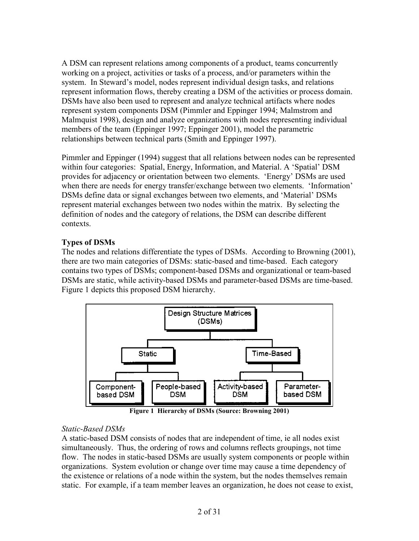A DSM can represent relations among components of a product, teams concurrently working on a project, activities or tasks of a process, and/or parameters within the system. In Steward's model, nodes represent individual design tasks, and relations represent information flows, thereby creating a DSM of the activities or process domain. DSMs have also been used to represent and analyze technical artifacts where nodes represent system components DSM (Pimmler and Eppinger 1994; Malmstrom and Malmquist 1998), design and analyze organizations with nodes representing individual members of the team (Eppinger 1997; Eppinger 2001), model the parametric relationships between technical parts (Smith and Eppinger 1997).

Pimmler and Eppinger (1994) suggest that all relations between nodes can be represented within four categories: Spatial, Energy, Information, and Material. A 'Spatial' DSM provides for adjacency or orientation between two elements. 'Energy' DSMs are used when there are needs for energy transfer/exchange between two elements. 'Information' DSMs define data or signal exchanges between two elements, and 'Material' DSMs represent material exchanges between two nodes within the matrix. By selecting the definition of nodes and the category of relations, the DSM can describe different contexts.

# Types of DSMs

The nodes and relations differentiate the types of DSMs. According to Browning (2001), there are two main categories of DSMs: static-based and time-based. Each category contains two types of DSMs; component-based DSMs and organizational or team-based DSMs are static, while activity-based DSMs and parameter-based DSMs are time-based. Figure 1 depicts this proposed DSM hierarchy.



Figure 1 Hierarchy of DSMs (Source: Browning 2001)

#### Static-Based DSMs

A static-based DSM consists of nodes that are independent of time, ie all nodes exist simultaneously. Thus, the ordering of rows and columns reflects groupings, not time flow. The nodes in static-based DSMs are usually system components or people within organizations. System evolution or change over time may cause a time dependency of the existence or relations of a node within the system, but the nodes themselves remain static. For example, if a team member leaves an organization, he does not cease to exist,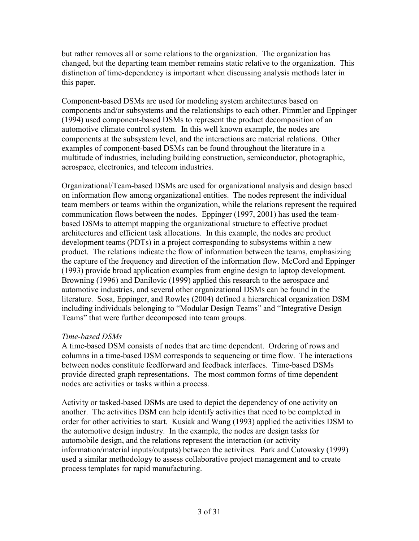but rather removes all or some relations to the organization. The organization has changed, but the departing team member remains static relative to the organization. This distinction of time-dependency is important when discussing analysis methods later in this paper.

Component-based DSMs are used for modeling system architectures based on components and/or subsystems and the relationships to each other. Pimmler and Eppinger (1994) used component-based DSMs to represent the product decomposition of an automotive climate control system. In this well known example, the nodes are components at the subsystem level, and the interactions are material relations. Other examples of component-based DSMs can be found throughout the literature in a multitude of industries, including building construction, semiconductor, photographic, aerospace, electronics, and telecom industries.

Organizational/Team-based DSMs are used for organizational analysis and design based on information flow among organizational entities. The nodes represent the individual team members or teams within the organization, while the relations represent the required communication flows between the nodes. Eppinger (1997, 2001) has used the teambased DSMs to attempt mapping the organizational structure to effective product architectures and efficient task allocations. In this example, the nodes are product development teams (PDTs) in a project corresponding to subsystems within a new product. The relations indicate the flow of information between the teams, emphasizing the capture of the frequency and direction of the information flow. McCord and Eppinger (1993) provide broad application examples from engine design to laptop development. Browning (1996) and Danilovic (1999) applied this research to the aerospace and automotive industries, and several other organizational DSMs can be found in the literature. Sosa, Eppinger, and Rowles (2004) defined a hierarchical organization DSM including individuals belonging to "Modular Design Teams" and "Integrative Design Teams" that were further decomposed into team groups.

#### Time-based DSMs

A time-based DSM consists of nodes that are time dependent. Ordering of rows and columns in a time-based DSM corresponds to sequencing or time flow. The interactions between nodes constitute feedforward and feedback interfaces. Time-based DSMs provide directed graph representations. The most common forms of time dependent nodes are activities or tasks within a process.

Activity or tasked-based DSMs are used to depict the dependency of one activity on another. The activities DSM can help identify activities that need to be completed in order for other activities to start. Kusiak and Wang (1993) applied the activities DSM to the automotive design industry. In the example, the nodes are design tasks for automobile design, and the relations represent the interaction (or activity information/material inputs/outputs) between the activities. Park and Cutowsky (1999) used a similar methodology to assess collaborative project management and to create process templates for rapid manufacturing.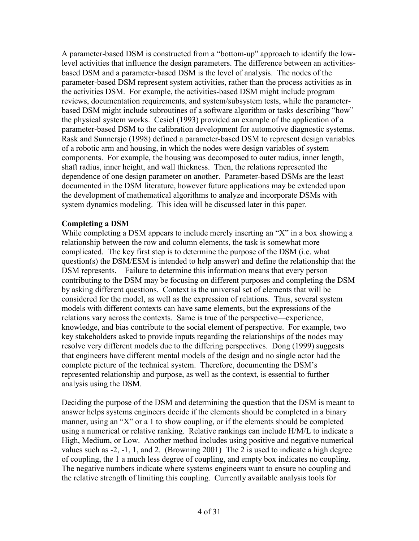A parameter-based DSM is constructed from a "bottom-up" approach to identify the lowlevel activities that influence the design parameters. The difference between an activitiesbased DSM and a parameter-based DSM is the level of analysis. The nodes of the parameter-based DSM represent system activities, rather than the process activities as in the activities DSM. For example, the activities-based DSM might include program reviews, documentation requirements, and system/subsystem tests, while the parameterbased DSM might include subroutines of a software algorithm or tasks describing "how" the physical system works. Cesiel (1993) provided an example of the application of a parameter-based DSM to the calibration development for automotive diagnostic systems. Rask and Sunnersjo (1998) defined a parameter-based DSM to represent design variables of a robotic arm and housing, in which the nodes were design variables of system components. For example, the housing was decomposed to outer radius, inner length, shaft radius, inner height, and wall thickness. Then, the relations represented the dependence of one design parameter on another. Parameter-based DSMs are the least documented in the DSM literature, however future applications may be extended upon the development of mathematical algorithms to analyze and incorporate DSMs with system dynamics modeling. This idea will be discussed later in this paper.

#### Completing a DSM

While completing a DSM appears to include merely inserting an "X" in a box showing a relationship between the row and column elements, the task is somewhat more complicated. The key first step is to determine the purpose of the DSM (i.e. what question(s) the DSM/ESM is intended to help answer) and define the relationship that the DSM represents. Failure to determine this information means that every person contributing to the DSM may be focusing on different purposes and completing the DSM by asking different questions. Context is the universal set of elements that will be considered for the model, as well as the expression of relations. Thus, several system models with different contexts can have same elements, but the expressions of the relations vary across the contexts. Same is true of the perspective—experience, knowledge, and bias contribute to the social element of perspective. For example, two key stakeholders asked to provide inputs regarding the relationships of the nodes may resolve very different models due to the differing perspectives. Dong (1999) suggests that engineers have different mental models of the design and no single actor had the complete picture of the technical system. Therefore, documenting the DSM's represented relationship and purpose, as well as the context, is essential to further analysis using the DSM.

Deciding the purpose of the DSM and determining the question that the DSM is meant to answer helps systems engineers decide if the elements should be completed in a binary manner, using an "X" or a 1 to show coupling, or if the elements should be completed using a numerical or relative ranking. Relative rankings can include H/M/L to indicate a High, Medium, or Low. Another method includes using positive and negative numerical values such as -2, -1, 1, and 2. (Browning 2001) The 2 is used to indicate a high degree of coupling, the 1 a much less degree of coupling, and empty box indicates no coupling. The negative numbers indicate where systems engineers want to ensure no coupling and the relative strength of limiting this coupling. Currently available analysis tools for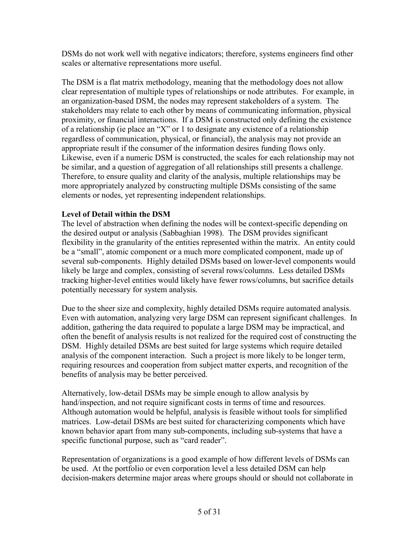DSMs do not work well with negative indicators; therefore, systems engineers find other scales or alternative representations more useful.

The DSM is a flat matrix methodology, meaning that the methodology does not allow clear representation of multiple types of relationships or node attributes. For example, in an organization-based DSM, the nodes may represent stakeholders of a system. The stakeholders may relate to each other by means of communicating information, physical proximity, or financial interactions. If a DSM is constructed only defining the existence of a relationship (ie place an "X" or 1 to designate any existence of a relationship regardless of communication, physical, or financial), the analysis may not provide an appropriate result if the consumer of the information desires funding flows only. Likewise, even if a numeric DSM is constructed, the scales for each relationship may not be similar, and a question of aggregation of all relationships still presents a challenge. Therefore, to ensure quality and clarity of the analysis, multiple relationships may be more appropriately analyzed by constructing multiple DSMs consisting of the same elements or nodes, yet representing independent relationships.

#### Level of Detail within the DSM

The level of abstraction when defining the nodes will be context-specific depending on the desired output or analysis (Sabbaghian 1998). The DSM provides significant flexibility in the granularity of the entities represented within the matrix. An entity could be a "small", atomic component or a much more complicated component, made up of several sub-components. Highly detailed DSMs based on lower-level components would likely be large and complex, consisting of several rows/columns. Less detailed DSMs tracking higher-level entities would likely have fewer rows/columns, but sacrifice details potentially necessary for system analysis.

Due to the sheer size and complexity, highly detailed DSMs require automated analysis. Even with automation, analyzing very large DSM can represent significant challenges. In addition, gathering the data required to populate a large DSM may be impractical, and often the benefit of analysis results is not realized for the required cost of constructing the DSM. Highly detailed DSMs are best suited for large systems which require detailed analysis of the component interaction. Such a project is more likely to be longer term, requiring resources and cooperation from subject matter experts, and recognition of the benefits of analysis may be better perceived.

Alternatively, low-detail DSMs may be simple enough to allow analysis by hand/inspection, and not require significant costs in terms of time and resources. Although automation would be helpful, analysis is feasible without tools for simplified matrices. Low-detail DSMs are best suited for characterizing components which have known behavior apart from many sub-components, including sub-systems that have a specific functional purpose, such as "card reader".

Representation of organizations is a good example of how different levels of DSMs can be used. At the portfolio or even corporation level a less detailed DSM can help decision-makers determine major areas where groups should or should not collaborate in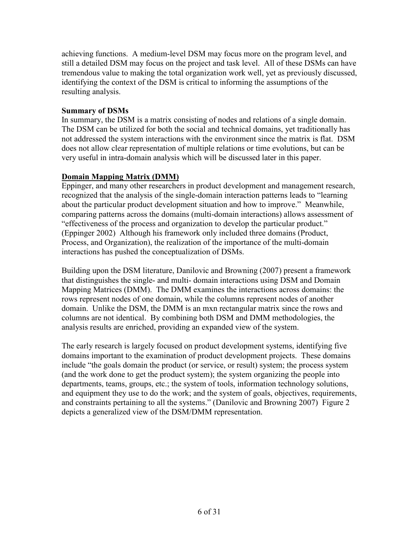achieving functions. A medium-level DSM may focus more on the program level, and still a detailed DSM may focus on the project and task level. All of these DSMs can have tremendous value to making the total organization work well, yet as previously discussed, identifying the context of the DSM is critical to informing the assumptions of the resulting analysis.

#### Summary of DSMs

In summary, the DSM is a matrix consisting of nodes and relations of a single domain. The DSM can be utilized for both the social and technical domains, yet traditionally has not addressed the system interactions with the environment since the matrix is flat. DSM does not allow clear representation of multiple relations or time evolutions, but can be very useful in intra-domain analysis which will be discussed later in this paper.

### Domain Mapping Matrix (DMM)

Eppinger, and many other researchers in product development and management research, recognized that the analysis of the single-domain interaction patterns leads to "learning about the particular product development situation and how to improve." Meanwhile, comparing patterns across the domains (multi-domain interactions) allows assessment of "effectiveness of the process and organization to develop the particular product." (Eppinger 2002) Although his framework only included three domains (Product, Process, and Organization), the realization of the importance of the multi-domain interactions has pushed the conceptualization of DSMs.

Building upon the DSM literature, Danilovic and Browning (2007) present a framework that distinguishes the single- and multi- domain interactions using DSM and Domain Mapping Matrices (DMM). The DMM examines the interactions across domains: the rows represent nodes of one domain, while the columns represent nodes of another domain. Unlike the DSM, the DMM is an mxn rectangular matrix since the rows and columns are not identical. By combining both DSM and DMM methodologies, the analysis results are enriched, providing an expanded view of the system.

The early research is largely focused on product development systems, identifying five domains important to the examination of product development projects. These domains include "the goals domain the product (or service, or result) system; the process system (and the work done to get the product system); the system organizing the people into departments, teams, groups, etc.; the system of tools, information technology solutions, and equipment they use to do the work; and the system of goals, objectives, requirements, and constraints pertaining to all the systems." (Danilovic and Browning 2007) Figure 2 depicts a generalized view of the DSM/DMM representation.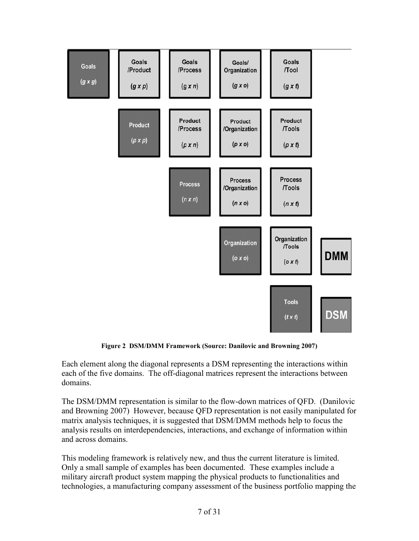

Figure 2 DSM/DMM Framework (Source: Danilovic and Browning 2007)

Each element along the diagonal represents a DSM representing the interactions within each of the five domains. The off-diagonal matrices represent the interactions between domains.

The DSM/DMM representation is similar to the flow-down matrices of QFD. (Danilovic and Browning 2007) However, because QFD representation is not easily manipulated for matrix analysis techniques, it is suggested that DSM/DMM methods help to focus the analysis results on interdependencies, interactions, and exchange of information within and across domains.

This modeling framework is relatively new, and thus the current literature is limited. Only a small sample of examples has been documented. These examples include a military aircraft product system mapping the physical products to functionalities and technologies, a manufacturing company assessment of the business portfolio mapping the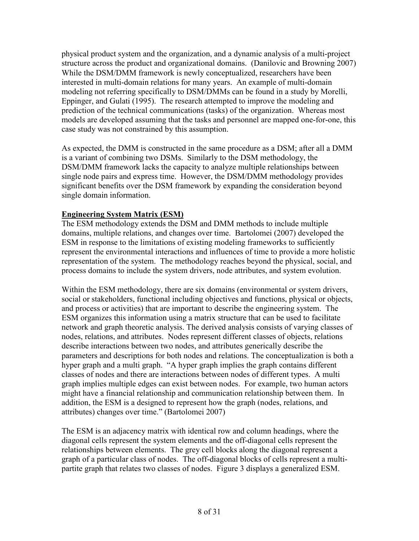physical product system and the organization, and a dynamic analysis of a multi-project structure across the product and organizational domains. (Danilovic and Browning 2007) While the DSM/DMM framework is newly conceptualized, researchers have been interested in multi-domain relations for many years. An example of multi-domain modeling not referring specifically to DSM/DMMs can be found in a study by Morelli, Eppinger, and Gulati (1995). The research attempted to improve the modeling and prediction of the technical communications (tasks) of the organization. Whereas most models are developed assuming that the tasks and personnel are mapped one-for-one, this case study was not constrained by this assumption.

As expected, the DMM is constructed in the same procedure as a DSM; after all a DMM is a variant of combining two DSMs. Similarly to the DSM methodology, the DSM/DMM framework lacks the capacity to analyze multiple relationships between single node pairs and express time. However, the DSM/DMM methodology provides significant benefits over the DSM framework by expanding the consideration beyond single domain information.

### Engineering System Matrix (ESM)

The ESM methodology extends the DSM and DMM methods to include multiple domains, multiple relations, and changes over time. Bartolomei (2007) developed the ESM in response to the limitations of existing modeling frameworks to sufficiently represent the environmental interactions and influences of time to provide a more holistic representation of the system. The methodology reaches beyond the physical, social, and process domains to include the system drivers, node attributes, and system evolution.

Within the ESM methodology, there are six domains (environmental or system drivers, social or stakeholders, functional including objectives and functions, physical or objects, and process or activities) that are important to describe the engineering system. The ESM organizes this information using a matrix structure that can be used to facilitate network and graph theoretic analysis. The derived analysis consists of varying classes of nodes, relations, and attributes. Nodes represent different classes of objects, relations describe interactions between two nodes, and attributes generically describe the parameters and descriptions for both nodes and relations. The conceptualization is both a hyper graph and a multi graph. "A hyper graph implies the graph contains different classes of nodes and there are interactions between nodes of different types. A multi graph implies multiple edges can exist between nodes. For example, two human actors might have a financial relationship and communication relationship between them. In addition, the ESM is a designed to represent how the graph (nodes, relations, and attributes) changes over time." (Bartolomei 2007)

The ESM is an adjacency matrix with identical row and column headings, where the diagonal cells represent the system elements and the off-diagonal cells represent the relationships between elements. The grey cell blocks along the diagonal represent a graph of a particular class of nodes. The off-diagonal blocks of cells represent a multipartite graph that relates two classes of nodes. Figure 3 displays a generalized ESM.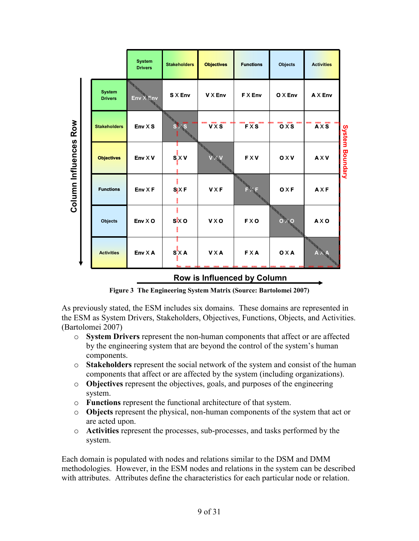|                   |                             |                                 | <b>System</b><br><b>Drivers</b> | <b>Stakeholders</b> | <b>Objectives</b> | <b>Functions</b> | <b>Objects</b>              | <b>Activities</b> |                        |
|-------------------|-----------------------------|---------------------------------|---------------------------------|---------------------|-------------------|------------------|-----------------------------|-------------------|------------------------|
|                   |                             | <b>System</b><br><b>Drivers</b> | $Env \times Env$                | S X Env             | <b>V X Env</b>    | <b>FXEnv</b>     | $O X$ Env                   | $AX$ Env          |                        |
| Row               |                             | <b>Stakeholders</b>             | $Env \times S$                  | ٤S                  | $V \times S$      | FXS              | $\overline{\mathbf{o}}$ x s | <b>AXS</b>        |                        |
|                   |                             | <b>Objectives</b>               | Env X V                         | $S_X$ X V           |                   | <b>FXV</b>       | 0 <sub>X</sub>              | <b>AXV</b>        | <b>System Boundary</b> |
| Column Influences |                             | <b>Functions</b>                | $Env \times F$                  | $S_i X F$           | <b>VXF</b>        |                  | O X F                       | AXF               |                        |
|                   |                             | <b>Objects</b>                  | $Env \times O$                  | $s\mathbf{k}$ o     | <b>VXO</b>        | <b>FXO</b>       |                             | <b>AXO</b>        |                        |
|                   |                             | <b>Activities</b>               | Env X A                         | $S^{\bullet}$ XA    | <b>VXA</b>        | <b>FXA</b>       | O X A                       |                   |                        |
|                   | Row is Influenced by Column |                                 |                                 |                     |                   |                  |                             |                   |                        |

Figure 3 The Engineering System Matrix (Source: Bartolomei 2007)

As previously stated, the ESM includes six domains. These domains are represented in the ESM as System Drivers, Stakeholders, Objectives, Functions, Objects, and Activities. (Bartolomei 2007)

- o System Drivers represent the non-human components that affect or are affected by the engineering system that are beyond the control of the system's human components.
- $\circ$  Stakeholders represent the social network of the system and consist of the human components that affect or are affected by the system (including organizations).
- o Objectives represent the objectives, goals, and purposes of the engineering system.
- o Functions represent the functional architecture of that system.
- o Objects represent the physical, non-human components of the system that act or are acted upon.
- o Activities represent the processes, sub-processes, and tasks performed by the system.

Each domain is populated with nodes and relations similar to the DSM and DMM methodologies. However, in the ESM nodes and relations in the system can be described with attributes. Attributes define the characteristics for each particular node or relation.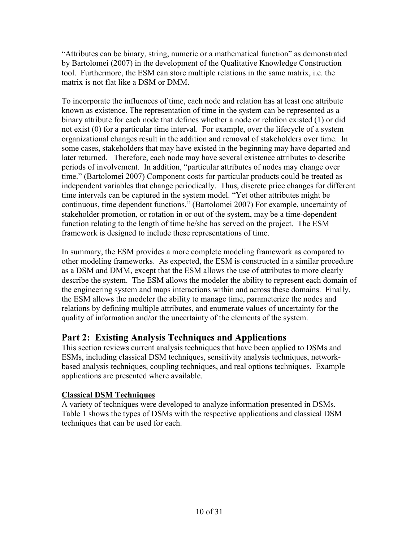"Attributes can be binary, string, numeric or a mathematical function" as demonstrated by Bartolomei (2007) in the development of the Qualitative Knowledge Construction tool. Furthermore, the ESM can store multiple relations in the same matrix, i.e. the matrix is not flat like a DSM or DMM.

To incorporate the influences of time, each node and relation has at least one attribute known as existence. The representation of time in the system can be represented as a binary attribute for each node that defines whether a node or relation existed (1) or did not exist (0) for a particular time interval. For example, over the lifecycle of a system organizational changes result in the addition and removal of stakeholders over time. In some cases, stakeholders that may have existed in the beginning may have departed and later returned. Therefore, each node may have several existence attributes to describe periods of involvement. In addition, "particular attributes of nodes may change over time." (Bartolomei 2007) Component costs for particular products could be treated as independent variables that change periodically. Thus, discrete price changes for different time intervals can be captured in the system model. "Yet other attributes might be continuous, time dependent functions." (Bartolomei 2007) For example, uncertainty of stakeholder promotion, or rotation in or out of the system, may be a time-dependent function relating to the length of time he/she has served on the project. The ESM framework is designed to include these representations of time.

In summary, the ESM provides a more complete modeling framework as compared to other modeling frameworks. As expected, the ESM is constructed in a similar procedure as a DSM and DMM, except that the ESM allows the use of attributes to more clearly describe the system. The ESM allows the modeler the ability to represent each domain of the engineering system and maps interactions within and across these domains. Finally, the ESM allows the modeler the ability to manage time, parameterize the nodes and relations by defining multiple attributes, and enumerate values of uncertainty for the quality of information and/or the uncertainty of the elements of the system.

# Part 2: Existing Analysis Techniques and Applications

This section reviews current analysis techniques that have been applied to DSMs and ESMs, including classical DSM techniques, sensitivity analysis techniques, networkbased analysis techniques, coupling techniques, and real options techniques. Example applications are presented where available.

# Classical DSM Techniques

A variety of techniques were developed to analyze information presented in DSMs. Table 1 shows the types of DSMs with the respective applications and classical DSM techniques that can be used for each.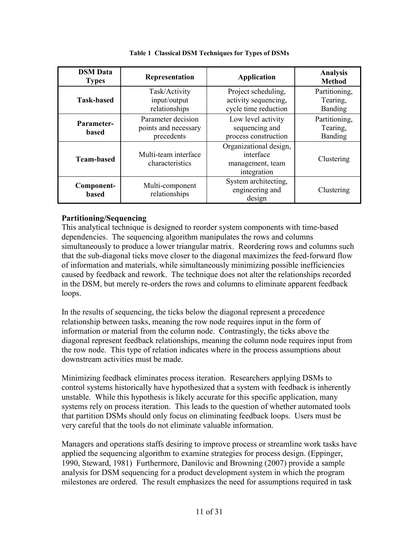| <b>DSM</b> Data<br><b>Types</b> | Representation                                           | <b>Application</b>                                                     | <b>Analysis</b><br><b>Method</b>            |
|---------------------------------|----------------------------------------------------------|------------------------------------------------------------------------|---------------------------------------------|
| <b>Task-based</b>               | Task/Activity<br>input/output<br>relationships           | Project scheduling,<br>activity sequencing,<br>cycle time reduction    | Partitioning,<br>Tearing,<br>Banding        |
| Parameter-<br>based             | Parameter decision<br>points and necessary<br>precedents | Low level activity<br>sequencing and<br>process construction           | Partitioning,<br>Tearing,<br><b>Banding</b> |
| <b>Team-based</b>               | Multi-team interface<br>characteristics                  | Organizational design,<br>interface<br>management, team<br>integration | Clustering                                  |
| Component-<br>based             | Multi-component<br>relationships                         | System architecting,<br>engineering and<br>design                      | Clustering                                  |

#### Table 1 Classical DSM Techniques for Types of DSMs

#### Partitioning/Sequencing

This analytical technique is designed to reorder system components with time-based dependencies. The sequencing algorithm manipulates the rows and columns simultaneously to produce a lower triangular matrix. Reordering rows and columns such that the sub-diagonal ticks move closer to the diagonal maximizes the feed-forward flow of information and materials, while simultaneously minimizing possible inefficiencies caused by feedback and rework. The technique does not alter the relationships recorded in the DSM, but merely re-orders the rows and columns to eliminate apparent feedback loops.

In the results of sequencing, the ticks below the diagonal represent a precedence relationship between tasks, meaning the row node requires input in the form of information or material from the column node. Contrastingly, the ticks above the diagonal represent feedback relationships, meaning the column node requires input from the row node. This type of relation indicates where in the process assumptions about downstream activities must be made.

Minimizing feedback eliminates process iteration. Researchers applying DSMs to control systems historically have hypothesized that a system with feedback is inherently unstable. While this hypothesis is likely accurate for this specific application, many systems rely on process iteration. This leads to the question of whether automated tools that partition DSMs should only focus on eliminating feedback loops. Users must be very careful that the tools do not eliminate valuable information.

Managers and operations staffs desiring to improve process or streamline work tasks have applied the sequencing algorithm to examine strategies for process design. (Eppinger, 1990, Steward, 1981) Furthermore, Danilovic and Browning (2007) provide a sample analysis for DSM sequencing for a product development system in which the program milestones are ordered. The result emphasizes the need for assumptions required in task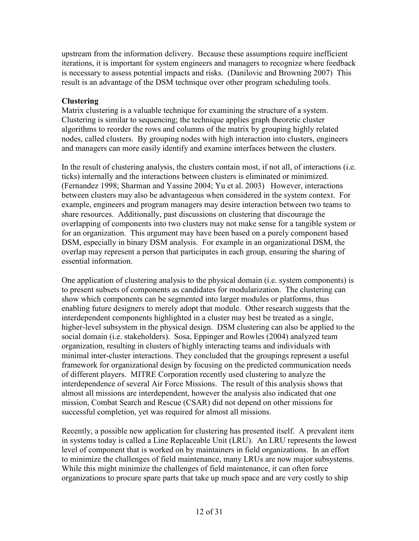upstream from the information delivery. Because these assumptions require inefficient iterations, it is important for system engineers and managers to recognize where feedback is necessary to assess potential impacts and risks. (Danilovic and Browning 2007) This result is an advantage of the DSM technique over other program scheduling tools.

#### **Clustering**

Matrix clustering is a valuable technique for examining the structure of a system. Clustering is similar to sequencing; the technique applies graph theoretic cluster algorithms to reorder the rows and columns of the matrix by grouping highly related nodes, called clusters. By grouping nodes with high interaction into clusters, engineers and managers can more easily identify and examine interfaces between the clusters.

In the result of clustering analysis, the clusters contain most, if not all, of interactions (i.e. ticks) internally and the interactions between clusters is eliminated or minimized. (Fernandez 1998; Sharman and Yassine 2004; Yu et al. 2003) However, interactions between clusters may also be advantageous when considered in the system context. For example, engineers and program managers may desire interaction between two teams to share resources. Additionally, past discussions on clustering that discourage the overlapping of components into two clusters may not make sense for a tangible system or for an organization. This argument may have been based on a purely component based DSM, especially in binary DSM analysis. For example in an organizational DSM, the overlap may represent a person that participates in each group, ensuring the sharing of essential information.

One application of clustering analysis to the physical domain (i.e. system components) is to present subsets of components as candidates for modularization. The clustering can show which components can be segmented into larger modules or platforms, thus enabling future designers to merely adopt that module. Other research suggests that the interdependent components highlighted in a cluster may best be treated as a single, higher-level subsystem in the physical design. DSM clustering can also be applied to the social domain (i.e. stakeholders). Sosa, Eppinger and Rowles (2004) analyzed team organization, resulting in clusters of highly interacting teams and individuals with minimal inter-cluster interactions. They concluded that the groupings represent a useful framework for organizational design by focusing on the predicted communication needs of different players. MITRE Corporation recently used clustering to analyze the interdependence of several Air Force Missions. The result of this analysis shows that almost all missions are interdependent, however the analysis also indicated that one mission, Combat Search and Rescue (CSAR) did not depend on other missions for successful completion, yet was required for almost all missions.

Recently, a possible new application for clustering has presented itself. A prevalent item in systems today is called a Line Replaceable Unit (LRU). An LRU represents the lowest level of component that is worked on by maintainers in field organizations. In an effort to minimize the challenges of field maintenance, many LRUs are now major subsystems. While this might minimize the challenges of field maintenance, it can often force organizations to procure spare parts that take up much space and are very costly to ship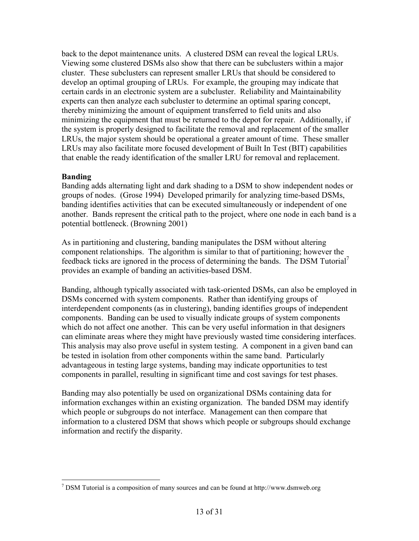back to the depot maintenance units. A clustered DSM can reveal the logical LRUs. Viewing some clustered DSMs also show that there can be subclusters within a major cluster. These subclusters can represent smaller LRUs that should be considered to develop an optimal grouping of LRUs. For example, the grouping may indicate that certain cards in an electronic system are a subcluster. Reliability and Maintainability experts can then analyze each subcluster to determine an optimal sparing concept, thereby minimizing the amount of equipment transferred to field units and also minimizing the equipment that must be returned to the depot for repair. Additionally, if the system is properly designed to facilitate the removal and replacement of the smaller LRUs, the major system should be operational a greater amount of time. These smaller LRUs may also facilitate more focused development of Built In Test (BIT) capabilities that enable the ready identification of the smaller LRU for removal and replacement.

#### Banding

Banding adds alternating light and dark shading to a DSM to show independent nodes or groups of nodes. (Grose 1994) Developed primarily for analyzing time-based DSMs, banding identifies activities that can be executed simultaneously or independent of one another. Bands represent the critical path to the project, where one node in each band is a potential bottleneck. (Browning 2001)

As in partitioning and clustering, banding manipulates the DSM without altering component relationships. The algorithm is similar to that of partitioning; however the feedback ticks are ignored in the process of determining the bands. The DSM Tutorial<sup>7</sup> provides an example of banding an activities-based DSM.

Banding, although typically associated with task-oriented DSMs, can also be employed in DSMs concerned with system components. Rather than identifying groups of interdependent components (as in clustering), banding identifies groups of independent components. Banding can be used to visually indicate groups of system components which do not affect one another. This can be very useful information in that designers can eliminate areas where they might have previously wasted time considering interfaces. This analysis may also prove useful in system testing. A component in a given band can be tested in isolation from other components within the same band. Particularly advantageous in testing large systems, banding may indicate opportunities to test components in parallel, resulting in significant time and cost savings for test phases.

Banding may also potentially be used on organizational DSMs containing data for information exchanges within an existing organization. The banded DSM may identify which people or subgroups do not interface. Management can then compare that information to a clustered DSM that shows which people or subgroups should exchange information and rectify the disparity.

 $\overline{a}$ <sup>7</sup> DSM Tutorial is a composition of many sources and can be found at http://www.dsmweb.org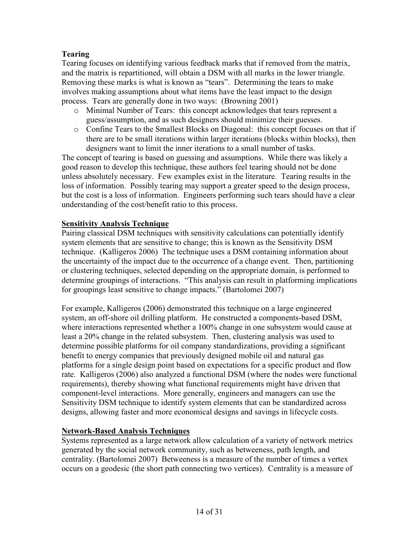### Tearing

Tearing focuses on identifying various feedback marks that if removed from the matrix, and the matrix is repartitioned, will obtain a DSM with all marks in the lower triangle. Removing these marks is what is known as "tears". Determining the tears to make involves making assumptions about what items have the least impact to the design process. Tears are generally done in two ways: (Browning 2001)

- o Minimal Number of Tears: this concept acknowledges that tears represent a guess/assumption, and as such designers should minimize their guesses.
- o Confine Tears to the Smallest Blocks on Diagonal: this concept focuses on that if there are to be small iterations within larger iterations (blocks within blocks), then designers want to limit the inner iterations to a small number of tasks.

The concept of tearing is based on guessing and assumptions. While there was likely a good reason to develop this technique, these authors feel tearing should not be done unless absolutely necessary. Few examples exist in the literature. Tearing results in the loss of information. Possibly tearing may support a greater speed to the design process, but the cost is a loss of information. Engineers performing such tears should have a clear understanding of the cost/benefit ratio to this process.

#### Sensitivity Analysis Technique

Pairing classical DSM techniques with sensitivity calculations can potentially identify system elements that are sensitive to change; this is known as the Sensitivity DSM technique. (Kalligeros 2006) The technique uses a DSM containing information about the uncertainty of the impact due to the occurrence of a change event. Then, partitioning or clustering techniques, selected depending on the appropriate domain, is performed to determine groupings of interactions. "This analysis can result in platforming implications for groupings least sensitive to change impacts." (Bartolomei 2007)

For example, Kalligeros (2006) demonstrated this technique on a large engineered system, an off-shore oil drilling platform. He constructed a components-based DSM, where interactions represented whether a 100% change in one subsystem would cause at least a 20% change in the related subsystem. Then, clustering analysis was used to determine possible platforms for oil company standardizations, providing a significant benefit to energy companies that previously designed mobile oil and natural gas platforms for a single design point based on expectations for a specific product and flow rate. Kalligeros (2006) also analyzed a functional DSM (where the nodes were functional requirements), thereby showing what functional requirements might have driven that component-level interactions. More generally, engineers and managers can use the Sensitivity DSM technique to identify system elements that can be standardized across designs, allowing faster and more economical designs and savings in lifecycle costs.

#### Network-Based Analysis Techniques

Systems represented as a large network allow calculation of a variety of network metrics generated by the social network community, such as betweeness, path length, and centrality. (Bartolomei 2007) Betweeness is a measure of the number of times a vertex occurs on a geodesic (the short path connecting two vertices). Centrality is a measure of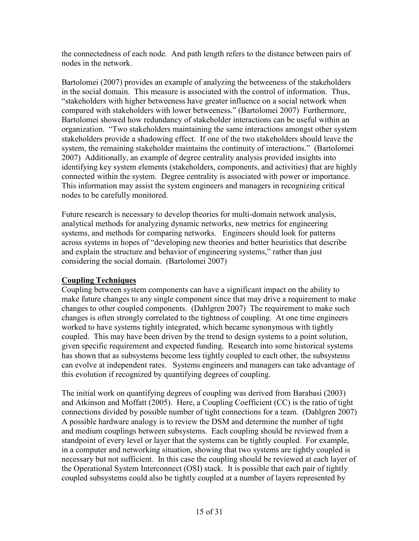the connectedness of each node. And path length refers to the distance between pairs of nodes in the network.

Bartolomei (2007) provides an example of analyzing the betweeness of the stakeholders in the social domain. This measure is associated with the control of information. Thus, "stakeholders with higher betweeness have greater influence on a social network when compared with stakeholders with lower betweeness." (Bartolomei 2007) Furthermore, Bartolomei showed how redundancy of stakeholder interactions can be useful within an organization. "Two stakeholders maintaining the same interactions amongst other system stakeholders provide a shadowing effect. If one of the two stakeholders should leave the system, the remaining stakeholder maintains the continuity of interactions." (Bartolomei 2007) Additionally, an example of degree centrality analysis provided insights into identifying key system elements (stakeholders, components, and activities) that are highly connected within the system. Degree centrality is associated with power or importance. This information may assist the system engineers and managers in recognizing critical nodes to be carefully monitored.

Future research is necessary to develop theories for multi-domain network analysis, analytical methods for analyzing dynamic networks, new metrics for engineering systems, and methods for comparing networks. Engineers should look for patterns across systems in hopes of "developing new theories and better heuristics that describe and explain the structure and behavior of engineering systems," rather than just considering the social domain. (Bartolomei 2007)

# Coupling Techniques

Coupling between system components can have a significant impact on the ability to make future changes to any single component since that may drive a requirement to make changes to other coupled components. (Dahlgren 2007) The requirement to make such changes is often strongly correlated to the tightness of coupling. At one time engineers worked to have systems tightly integrated, which became synonymous with tightly coupled. This may have been driven by the trend to design systems to a point solution, given specific requirement and expected funding. Research into some historical systems has shown that as subsystems become less tightly coupled to each other, the subsystems can evolve at independent rates. Systems engineers and managers can take advantage of this evolution if recognized by quantifying degrees of coupling.

The initial work on quantifying degrees of coupling was derived from Barabasi (2003) and Atkinson and Moffatt (2005). Here, a Coupling Coefficient (CC) is the ratio of tight connections divided by possible number of tight connections for a team. (Dahlgren 2007) A possible hardware analogy is to review the DSM and determine the number of tight and medium couplings between subsystems. Each coupling should be reviewed from a standpoint of every level or layer that the systems can be tightly coupled. For example, in a computer and networking situation, showing that two systems are tightly coupled is necessary but not sufficient. In this case the coupling should be reviewed at each layer of the Operational System Interconnect (OSI) stack. It is possible that each pair of tightly coupled subsystems could also be tightly coupled at a number of layers represented by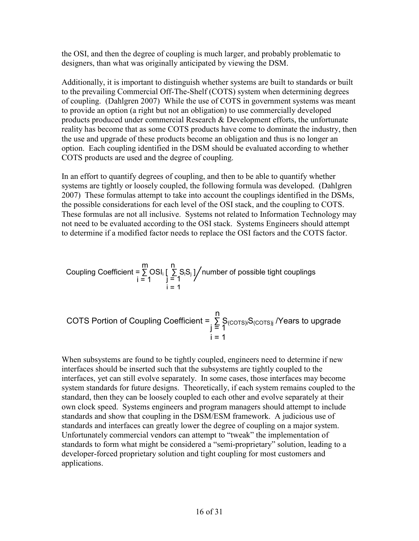the OSI, and then the degree of coupling is much larger, and probably problematic to designers, than what was originally anticipated by viewing the DSM.

Additionally, it is important to distinguish whether systems are built to standards or built to the prevailing Commercial Off-The-Shelf (COTS) system when determining degrees of coupling. (Dahlgren 2007) While the use of COTS in government systems was meant to provide an option (a right but not an obligation) to use commercially developed products produced under commercial Research & Development efforts, the unfortunate reality has become that as some COTS products have come to dominate the industry, then the use and upgrade of these products become an obligation and thus is no longer an option. Each coupling identified in the DSM should be evaluated according to whether COTS products are used and the degree of coupling.

In an effort to quantify degrees of coupling, and then to be able to quantify whether systems are tightly or loosely coupled, the following formula was developed. (Dahlgren 2007) These formulas attempt to take into account the couplings identified in the DSMs, the possible considerations for each level of the OSI stack, and the coupling to COTS. These formulas are not all inclusive. Systems not related to Information Technology may not need to be evaluated according to the OSI stack. Systems Engineers should attempt to determine if a modified factor needs to replace the OSI factors and the COTS factor.

Coupling Coefficient = 
$$
\sum_{i=1}^{m} \text{OSI}_{i}
$$
  $\left[\sum_{j=1}^{n} \text{S}_{i} \text{S}_{j}\right]$  */* number of possible tight couplings  $i = 1$ 

\n $i = 1$ 

COTS Portion of Coupling Coefficient = 
$$
\sum_{j=1}^{n} S_{(COTS)j} S_{(COTS)j}
$$
 */* Years to upgrade 
$$
i = 1
$$

When subsystems are found to be tightly coupled, engineers need to determine if new interfaces should be inserted such that the subsystems are tightly coupled to the interfaces, yet can still evolve separately. In some cases, those interfaces may become system standards for future designs. Theoretically, if each system remains coupled to the standard, then they can be loosely coupled to each other and evolve separately at their own clock speed. Systems engineers and program managers should attempt to include standards and show that coupling in the DSM/ESM framework. A judicious use of standards and interfaces can greatly lower the degree of coupling on a major system. Unfortunately commercial vendors can attempt to "tweak" the implementation of standards to form what might be considered a "semi-proprietary" solution, leading to a developer-forced proprietary solution and tight coupling for most customers and applications.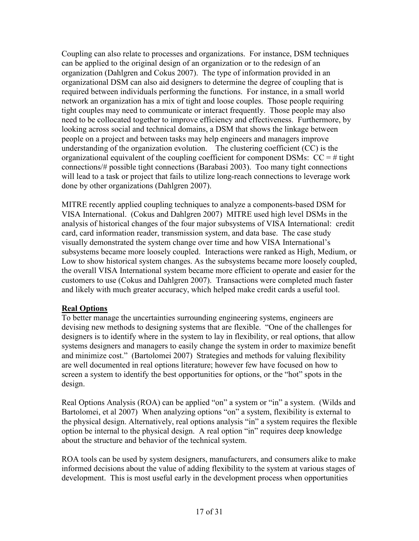Coupling can also relate to processes and organizations. For instance, DSM techniques can be applied to the original design of an organization or to the redesign of an organization (Dahlgren and Cokus 2007). The type of information provided in an organizational DSM can also aid designers to determine the degree of coupling that is required between individuals performing the functions. For instance, in a small world network an organization has a mix of tight and loose couples. Those people requiring tight couples may need to communicate or interact frequently. Those people may also need to be collocated together to improve efficiency and effectiveness. Furthermore, by looking across social and technical domains, a DSM that shows the linkage between people on a project and between tasks may help engineers and managers improve understanding of the organization evolution. The clustering coefficient (CC) is the organizational equivalent of the coupling coefficient for component DSMs:  $CC = #$  tight connections/# possible tight connections (Barabasi 2003). Too many tight connections will lead to a task or project that fails to utilize long-reach connections to leverage work done by other organizations (Dahlgren 2007).

MITRE recently applied coupling techniques to analyze a components-based DSM for VISA International. (Cokus and Dahlgren 2007) MITRE used high level DSMs in the analysis of historical changes of the four major subsystems of VISA International: credit card, card information reader, transmission system, and data base. The case study visually demonstrated the system change over time and how VISA International's subsystems became more loosely coupled. Interactions were ranked as High, Medium, or Low to show historical system changes. As the subsystems became more loosely coupled, the overall VISA International system became more efficient to operate and easier for the customers to use (Cokus and Dahlgren 2007). Transactions were completed much faster and likely with much greater accuracy, which helped make credit cards a useful tool.

#### Real Options

To better manage the uncertainties surrounding engineering systems, engineers are devising new methods to designing systems that are flexible. "One of the challenges for designers is to identify where in the system to lay in flexibility, or real options, that allow systems designers and managers to easily change the system in order to maximize benefit and minimize cost." (Bartolomei 2007) Strategies and methods for valuing flexibility are well documented in real options literature; however few have focused on how to screen a system to identify the best opportunities for options, or the "hot" spots in the design.

Real Options Analysis (ROA) can be applied "on" a system or "in" a system. (Wilds and Bartolomei, et al 2007) When analyzing options "on" a system, flexibility is external to the physical design. Alternatively, real options analysis "in" a system requires the flexible option be internal to the physical design. A real option "in" requires deep knowledge about the structure and behavior of the technical system.

ROA tools can be used by system designers, manufacturers, and consumers alike to make informed decisions about the value of adding flexibility to the system at various stages of development. This is most useful early in the development process when opportunities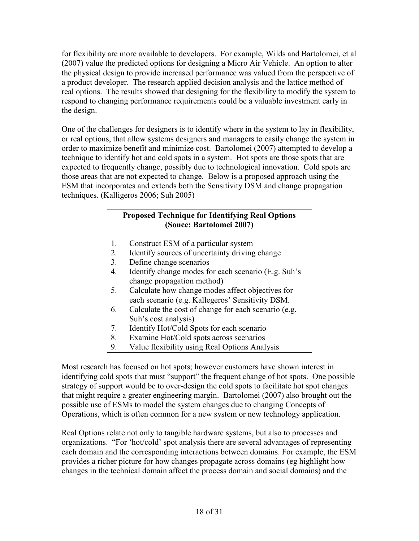for flexibility are more available to developers. For example, Wilds and Bartolomei, et al (2007) value the predicted options for designing a Micro Air Vehicle. An option to alter the physical design to provide increased performance was valued from the perspective of a product developer. The research applied decision analysis and the lattice method of real options. The results showed that designing for the flexibility to modify the system to respond to changing performance requirements could be a valuable investment early in the design.

One of the challenges for designers is to identify where in the system to lay in flexibility, or real options, that allow systems designers and managers to easily change the system in order to maximize benefit and minimize cost. Bartolomei (2007) attempted to develop a technique to identify hot and cold spots in a system. Hot spots are those spots that are expected to frequently change, possibly due to technological innovation. Cold spots are those areas that are not expected to change. Below is a proposed approach using the ESM that incorporates and extends both the Sensitivity DSM and change propagation techniques. (Kalligeros 2006; Suh 2005)

### Proposed Technique for Identifying Real Options (Souce: Bartolomei 2007)

- 1. Construct ESM of a particular system
- 2. Identify sources of uncertainty driving change
- 3. Define change scenarios
- 4. Identify change modes for each scenario (E.g. Suh's change propagation method)
- 5. Calculate how change modes affect objectives for each scenario (e.g. Kallegeros' Sensitivity DSM.
- 6. Calculate the cost of change for each scenario (e.g. Suh's cost analysis)
- 7. Identify Hot/Cold Spots for each scenario
- 8. Examine Hot/Cold spots across scenarios
- 9. Value flexibility using Real Options Analysis

Most research has focused on hot spots; however customers have shown interest in identifying cold spots that must "support" the frequent change of hot spots. One possible strategy of support would be to over-design the cold spots to facilitate hot spot changes that might require a greater engineering margin. Bartolomei (2007) also brought out the possible use of ESMs to model the system changes due to changing Concepts of Operations, which is often common for a new system or new technology application.

Real Options relate not only to tangible hardware systems, but also to processes and organizations. "For 'hot/cold' spot analysis there are several advantages of representing each domain and the corresponding interactions between domains. For example, the ESM provides a richer picture for how changes propagate across domains (eg highlight how changes in the technical domain affect the process domain and social domains) and the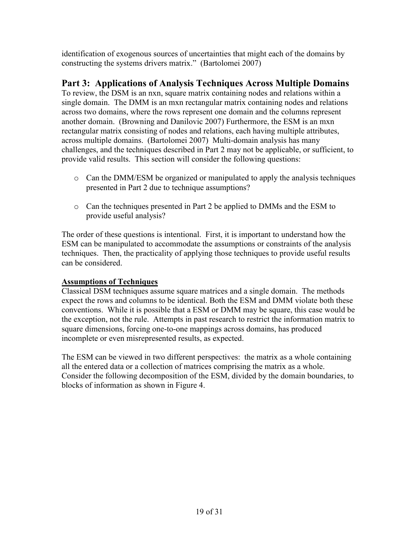identification of exogenous sources of uncertainties that might each of the domains by constructing the systems drivers matrix." (Bartolomei 2007)

# Part 3: Applications of Analysis Techniques Across Multiple Domains

To review, the DSM is an nxn, square matrix containing nodes and relations within a single domain. The DMM is an mxn rectangular matrix containing nodes and relations across two domains, where the rows represent one domain and the columns represent another domain. (Browning and Danilovic 2007) Furthermore, the ESM is an mxn rectangular matrix consisting of nodes and relations, each having multiple attributes, across multiple domains. (Bartolomei 2007) Multi-domain analysis has many challenges, and the techniques described in Part 2 may not be applicable, or sufficient, to provide valid results. This section will consider the following questions:

- o Can the DMM/ESM be organized or manipulated to apply the analysis techniques presented in Part 2 due to technique assumptions?
- o Can the techniques presented in Part 2 be applied to DMMs and the ESM to provide useful analysis?

The order of these questions is intentional. First, it is important to understand how the ESM can be manipulated to accommodate the assumptions or constraints of the analysis techniques. Then, the practicality of applying those techniques to provide useful results can be considered.

# Assumptions of Techniques

Classical DSM techniques assume square matrices and a single domain. The methods expect the rows and columns to be identical. Both the ESM and DMM violate both these conventions. While it is possible that a ESM or DMM may be square, this case would be the exception, not the rule. Attempts in past research to restrict the information matrix to square dimensions, forcing one-to-one mappings across domains, has produced incomplete or even misrepresented results, as expected.

The ESM can be viewed in two different perspectives: the matrix as a whole containing all the entered data or a collection of matrices comprising the matrix as a whole. Consider the following decomposition of the ESM, divided by the domain boundaries, to blocks of information as shown in Figure 4.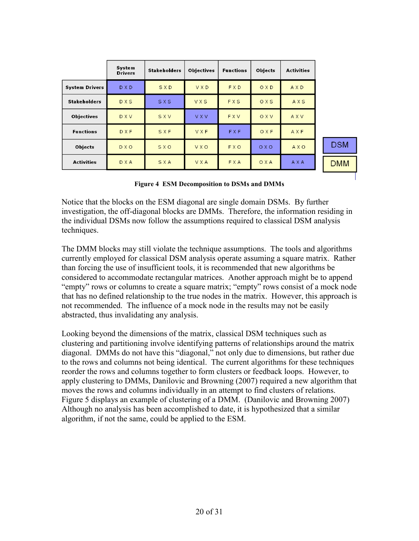|                       | System<br><b>Drivers</b> | <b>Stakeholders</b> | <b>Objectives</b> | <b>Functions</b> | Objects | <b>Activities</b> |            |
|-----------------------|--------------------------|---------------------|-------------------|------------------|---------|-------------------|------------|
| <b>System Drivers</b> | D X D                    | SXD                 | VXD               | <b>FXD</b>       | OXD     | AXD               |            |
| <b>Stakeholders</b>   | <b>DXS</b>               | SXS                 | VXS               | FXS              | OXS     | AXS               |            |
| <b>Objectives</b>     | <b>DXV</b>               | SXV                 | <b>VXV</b>        | <b>FXV</b>       | OXV     | <b>AXV</b>        |            |
| <b>Functions</b>      | <b>DXF</b>               | SXF                 | <b>VXF</b>        | <b>FXF</b>       | OXF     | AXF               |            |
| <b>Objects</b>        | <b>DXO</b>               | SXO                 | <b>VXQ</b>        | <b>FXO</b>       | OXO     | <b>AXO</b>        | <b>DSM</b> |
| <b>Activities</b>     | <b>D</b> X A             | SXA                 | <b>VXA</b>        | <b>FXA</b>       | OXA     | A X A             | <b>DMM</b> |

Figure 4 ESM Decomposition to DSMs and DMMs

Notice that the blocks on the ESM diagonal are single domain DSMs. By further investigation, the off-diagonal blocks are DMMs. Therefore, the information residing in the individual DSMs now follow the assumptions required to classical DSM analysis techniques.

The DMM blocks may still violate the technique assumptions. The tools and algorithms currently employed for classical DSM analysis operate assuming a square matrix. Rather than forcing the use of insufficient tools, it is recommended that new algorithms be considered to accommodate rectangular matrices. Another approach might be to append "empty" rows or columns to create a square matrix; "empty" rows consist of a mock node that has no defined relationship to the true nodes in the matrix. However, this approach is not recommended. The influence of a mock node in the results may not be easily abstracted, thus invalidating any analysis.

Looking beyond the dimensions of the matrix, classical DSM techniques such as clustering and partitioning involve identifying patterns of relationships around the matrix diagonal. DMMs do not have this "diagonal," not only due to dimensions, but rather due to the rows and columns not being identical. The current algorithms for these techniques reorder the rows and columns together to form clusters or feedback loops. However, to apply clustering to DMMs, Danilovic and Browning (2007) required a new algorithm that moves the rows and columns individually in an attempt to find clusters of relations. Figure 5 displays an example of clustering of a DMM. (Danilovic and Browning 2007) Although no analysis has been accomplished to date, it is hypothesized that a similar algorithm, if not the same, could be applied to the ESM.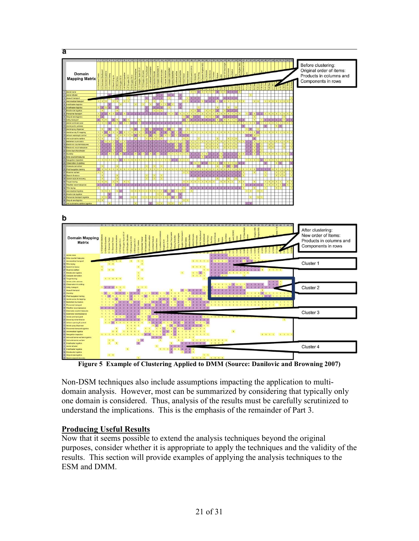

Figure 5 Example of Clustering Applied to DMM (Source: Danilovic and Browning 2007)

Non-DSM techniques also include assumptions impacting the application to multidomain analysis. However, most can be summarized by considering that typically only one domain is considered. Thus, analysis of the results must be carefully scrutinized to understand the implications. This is the emphasis of the remainder of Part 3.

#### Producing Useful Results

Now that it seems possible to extend the analysis techniques beyond the original purposes, consider whether it is appropriate to apply the techniques and the validity of the results. This section will provide examples of applying the analysis techniques to the ESM and DMM.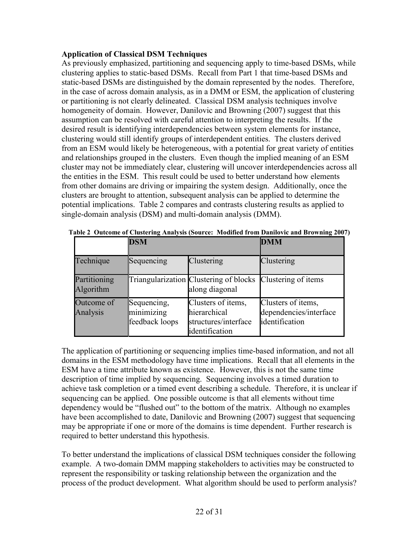#### Application of Classical DSM Techniques

As previously emphasized, partitioning and sequencing apply to time-based DSMs, while clustering applies to static-based DSMs. Recall from Part 1 that time-based DSMs and static-based DSMs are distinguished by the domain represented by the nodes. Therefore, in the case of across domain analysis, as in a DMM or ESM, the application of clustering or partitioning is not clearly delineated. Classical DSM analysis techniques involve homogeneity of domain. However, Danilovic and Browning (2007) suggest that this assumption can be resolved with careful attention to interpreting the results. If the desired result is identifying interdependencies between system elements for instance, clustering would still identify groups of interdependent entities. The clusters derived from an ESM would likely be heterogeneous, with a potential for great variety of entities and relationships grouped in the clusters. Even though the implied meaning of an ESM cluster may not be immediately clear, clustering will uncover interdependencies across all the entities in the ESM. This result could be used to better understand how elements from other domains are driving or impairing the system design. Additionally, once the clusters are brought to attention, subsequent analysis can be applied to determine the potential implications. Table 2 compares and contrasts clustering results as applied to single-domain analysis (DSM) and multi-domain analysis (DMM).

|                           | <b>DSM</b>                                  | <b>DMM</b>                                                                   |                                                                |
|---------------------------|---------------------------------------------|------------------------------------------------------------------------------|----------------------------------------------------------------|
| Technique                 | Sequencing                                  | Clustering                                                                   | Clustering                                                     |
| Partitioning<br>Algorithm |                                             | Triangularization Clustering of blocks<br>along diagonal                     | Clustering of items                                            |
| Outcome of<br>Analysis    | Sequencing,<br>minimizing<br>feedback loops | Clusters of items,<br>hierarchical<br>structures/interface<br>identification | Clusters of items,<br>dependencies/interface<br>identification |

Table 2 Outcome of Clustering Analysis (Source: Modified from Danilovic and Browning 2007)

The application of partitioning or sequencing implies time-based information, and not all domains in the ESM methodology have time implications. Recall that all elements in the ESM have a time attribute known as existence. However, this is not the same time description of time implied by sequencing. Sequencing involves a timed duration to achieve task completion or a timed event describing a schedule. Therefore, it is unclear if sequencing can be applied. One possible outcome is that all elements without time dependency would be "flushed out" to the bottom of the matrix. Although no examples have been accomplished to date, Danilovic and Browning (2007) suggest that sequencing may be appropriate if one or more of the domains is time dependent. Further research is required to better understand this hypothesis.

To better understand the implications of classical DSM techniques consider the following example. A two-domain DMM mapping stakeholders to activities may be constructed to represent the responsibility or tasking relationship between the organization and the process of the product development. What algorithm should be used to perform analysis?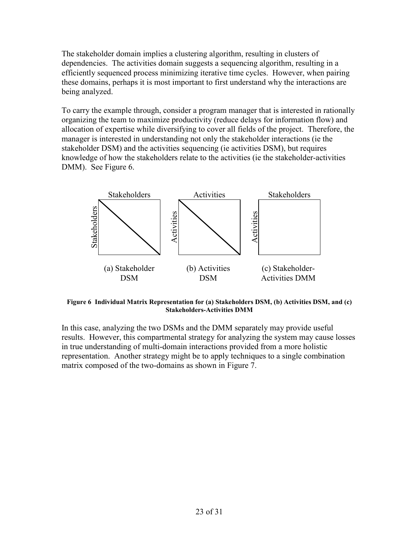The stakeholder domain implies a clustering algorithm, resulting in clusters of dependencies. The activities domain suggests a sequencing algorithm, resulting in a efficiently sequenced process minimizing iterative time cycles. However, when pairing these domains, perhaps it is most important to first understand why the interactions are being analyzed.

To carry the example through, consider a program manager that is interested in rationally organizing the team to maximize productivity (reduce delays for information flow) and allocation of expertise while diversifying to cover all fields of the project. Therefore, the manager is interested in understanding not only the stakeholder interactions (ie the stakeholder DSM) and the activities sequencing (ie activities DSM), but requires knowledge of how the stakeholders relate to the activities (ie the stakeholder-activities DMM). See Figure 6.



Figure 6 Individual Matrix Representation for (a) Stakeholders DSM, (b) Activities DSM, and (c) Stakeholders-Activities DMM

In this case, analyzing the two DSMs and the DMM separately may provide useful results. However, this compartmental strategy for analyzing the system may cause losses in true understanding of multi-domain interactions provided from a more holistic representation. Another strategy might be to apply techniques to a single combination matrix composed of the two-domains as shown in Figure 7.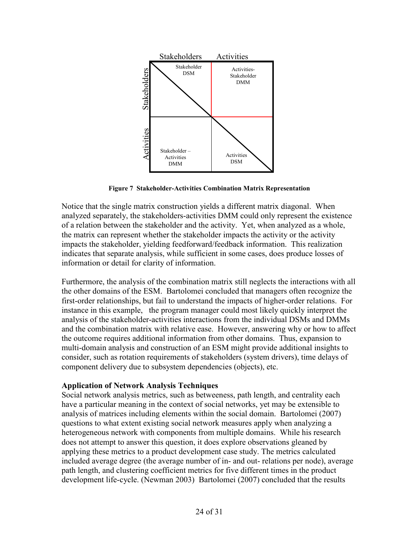

Figure 7 Stakeholder-Activities Combination Matrix Representation

Notice that the single matrix construction yields a different matrix diagonal. When analyzed separately, the stakeholders-activities DMM could only represent the existence of a relation between the stakeholder and the activity. Yet, when analyzed as a whole, the matrix can represent whether the stakeholder impacts the activity or the activity impacts the stakeholder, yielding feedforward/feedback information. This realization indicates that separate analysis, while sufficient in some cases, does produce losses of information or detail for clarity of information.

Furthermore, the analysis of the combination matrix still neglects the interactions with all the other domains of the ESM. Bartolomei concluded that managers often recognize the first-order relationships, but fail to understand the impacts of higher-order relations. For instance in this example, the program manager could most likely quickly interpret the analysis of the stakeholder-activities interactions from the individual DSMs and DMMs and the combination matrix with relative ease. However, answering why or how to affect the outcome requires additional information from other domains. Thus, expansion to multi-domain analysis and construction of an ESM might provide additional insights to consider, such as rotation requirements of stakeholders (system drivers), time delays of component delivery due to subsystem dependencies (objects), etc.

#### Application of Network Analysis Techniques

Social network analysis metrics, such as betweeness, path length, and centrality each have a particular meaning in the context of social networks, yet may be extensible to analysis of matrices including elements within the social domain. Bartolomei (2007) questions to what extent existing social network measures apply when analyzing a heterogeneous network with components from multiple domains. While his research does not attempt to answer this question, it does explore observations gleaned by applying these metrics to a product development case study. The metrics calculated included average degree (the average number of in- and out- relations per node), average path length, and clustering coefficient metrics for five different times in the product development life-cycle. (Newman 2003) Bartolomei (2007) concluded that the results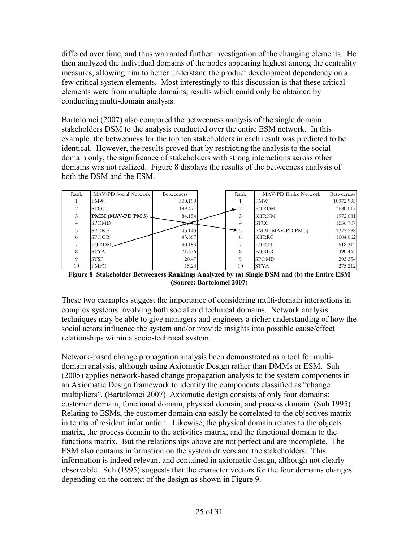differed over time, and thus warranted further investigation of the changing elements. He then analyzed the individual domains of the nodes appearing highest among the centrality measures, allowing him to better understand the product development dependency on a few critical system elements. Most interestingly to this discussion is that these critical elements were from multiple domains, results which could only be obtained by conducting multi-domain analysis.

Bartolomei (2007) also compared the betweeness analysis of the single domain stakeholders DSM to the analysis conducted over the entire ESM network. In this example, the betweeness for the top ten stakeholders in each result was predicted to be identical. However, the results proved that by restricting the analysis to the social domain only, the significance of stakeholders with strong interactions across other domains was not realized. Figure 8 displays the results of the betweeness analysis of both the DSM and the ESM.



Figure 8 Stakeholder Betweeness Rankings Analyzed by (a) Single DSM and (b) the Entire ESM (Source: Bartolomei 2007)

These two examples suggest the importance of considering multi-domain interactions in complex systems involving both social and technical domains. Network analysis techniques may be able to give managers and engineers a richer understanding of how the social actors influence the system and/or provide insights into possible cause/effect relationships within a socio-technical system.

Network-based change propagation analysis been demonstrated as a tool for multidomain analysis, although using Axiomatic Design rather than DMMs or ESM. Suh (2005) applies network-based change propagation analysis to the system components in an Axiomatic Design framework to identify the components classified as "change multipliers". (Bartolomei 2007) Axiomatic design consists of only four domains: customer domain, functional domain, physical domain, and process domain. (Suh 1995) Relating to ESMs, the customer domain can easily be correlated to the objectives matrix in terms of resident information. Likewise, the physical domain relates to the objects matrix, the process domain to the activities matrix, and the functional domain to the functions matrix. But the relationships above are not perfect and are incomplete. The ESM also contains information on the system drivers and the stakeholders. This information is indeed relevant and contained in axiomatic design, although not clearly observable. Suh (1995) suggests that the character vectors for the four domains changes depending on the context of the design as shown in Figure 9.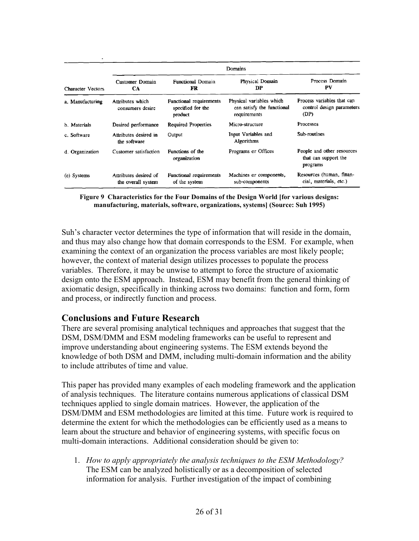|                     | Domains                                     |                                                         |                                                                        |                                                                 |  |  |  |
|---------------------|---------------------------------------------|---------------------------------------------------------|------------------------------------------------------------------------|-----------------------------------------------------------------|--|--|--|
| Character Vectors   | Customer Domain<br>CA                       | <b>Functional Domain</b><br>FR                          | Physical Domain<br>DP                                                  | Process Domain<br>PV                                            |  |  |  |
| a. Manufacturing    | Attributes which<br>consumers desire        | Functional requirements<br>specified for the<br>product | Physical variables which<br>can satisfy the functional<br>requirements | Process variables that can<br>control design parameters<br>(DP) |  |  |  |
| <b>b.</b> Materials | Desired performance                         | <b>Required Properties</b>                              | Micro-structure                                                        | Processes                                                       |  |  |  |
| c. Software         | Attributes desired in<br>the software       | Output                                                  | Input Variables and<br>Algorithms                                      | Sub-routines                                                    |  |  |  |
| d. Organization     | Customer satisfaction                       | Functions of the<br>organization                        | Programs or Offices                                                    | People and other resources<br>that can support the<br>programs  |  |  |  |
| (e) Systems         | Attributes desired of<br>the overall system | Functional requirements<br>of the system                | Machines or components,<br>sub-components                              | Resources (human, finan-<br>cial, materials, etc.)              |  |  |  |

Figure 9 Characteristics for the Four Domains of the Design World [for various designs: manufacturing, materials, software, organizations, systems] (Source: Suh 1995)

Suh's character vector determines the type of information that will reside in the domain, and thus may also change how that domain corresponds to the ESM. For example, when examining the context of an organization the process variables are most likely people; however, the context of material design utilizes processes to populate the process variables. Therefore, it may be unwise to attempt to force the structure of axiomatic design onto the ESM approach. Instead, ESM may benefit from the general thinking of axiomatic design, specifically in thinking across two domains: function and form, form and process, or indirectly function and process.

# Conclusions and Future Research

There are several promising analytical techniques and approaches that suggest that the DSM, DSM/DMM and ESM modeling frameworks can be useful to represent and improve understanding about engineering systems. The ESM extends beyond the knowledge of both DSM and DMM, including multi-domain information and the ability to include attributes of time and value.

This paper has provided many examples of each modeling framework and the application of analysis techniques. The literature contains numerous applications of classical DSM techniques applied to single domain matrices. However, the application of the DSM/DMM and ESM methodologies are limited at this time. Future work is required to determine the extent for which the methodologies can be efficiently used as a means to learn about the structure and behavior of engineering systems, with specific focus on multi-domain interactions. Additional consideration should be given to:

1. How to apply appropriately the analysis techniques to the ESM Methodology? The ESM can be analyzed holistically or as a decomposition of selected information for analysis. Further investigation of the impact of combining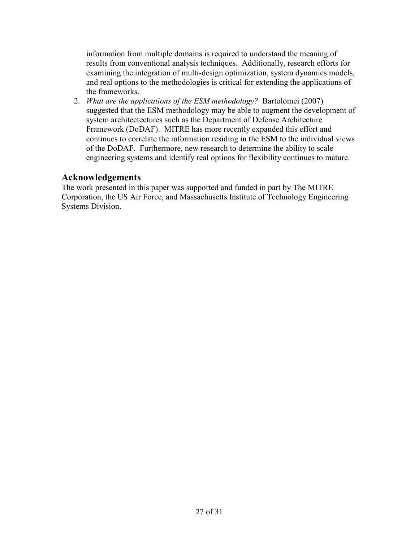information from multiple domains is required to understand the meaning of results from conventional analysis techniques. Additionally, research efforts for examining the integration of multi-design optimization, system dynamics models, and real options to the methodologies is critical for extending the applications of the frameworks.

2. What are the applications of the ESM methodology? Bartolomei (2007) suggested that the ESM methodology may be able to augment the development of system architectectures such as the Department of Defense Architecture Framework (DoDAF). MITRE has more recently expanded this effort and continues to correlate the information residing in the ESM to the individual views of the DoDAF. Furthermore, new research to determine the ability to scale engineering systems and identify real options for flexibility continues to mature.

# Acknowledgements

The work presented in this paper was supported and funded in part by The MITRE Corporation, the US Air Force, and Massachusetts Institute of Technology Engineering Systems Division.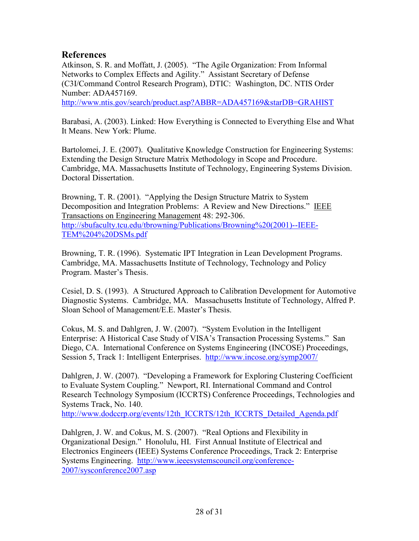# References

Atkinson, S. R. and Moffatt, J. (2005). "The Agile Organization: From Informal Networks to Complex Effects and Agility." Assistant Secretary of Defense (C3I/Command Control Research Program), DTIC: Washington, DC. NTIS Order Number: ADA457169. http://www.ntis.gov/search/product.asp?ABBR=ADA457169&starDB=GRAHIST

Barabasi, A. (2003). Linked: How Everything is Connected to Everything Else and What It Means. New York: Plume.

Bartolomei, J. E. (2007). Qualitative Knowledge Construction for Engineering Systems: Extending the Design Structure Matrix Methodology in Scope and Procedure. Cambridge, MA. Massachusetts Institute of Technology, Engineering Systems Division. Doctoral Dissertation.

Browning, T. R. (2001). "Applying the Design Structure Matrix to System Decomposition and Integration Problems: A Review and New Directions." IEEE Transactions on Engineering Management 48: 292-306. http://sbufaculty.tcu.edu/tbrowning/Publications/Browning%20(2001)--IEEE-TEM%204%20DSMs.pdf

Browning, T. R. (1996). Systematic IPT Integration in Lean Development Programs. Cambridge, MA. Massachusetts Institute of Technology, Technology and Policy Program. Master's Thesis.

Cesiel, D. S. (1993). A Structured Approach to Calibration Development for Automotive Diagnostic Systems. Cambridge, MA. Massachusetts Institute of Technology, Alfred P. Sloan School of Management/E.E. Master's Thesis.

Cokus, M. S. and Dahlgren, J. W. (2007). "System Evolution in the Intelligent Enterprise: A Historical Case Study of VISA's Transaction Processing Systems." San Diego, CA. International Conference on Systems Engineering (INCOSE) Proceedings, Session 5, Track 1: Intelligent Enterprises. http://www.incose.org/symp2007/

Dahlgren, J. W. (2007). "Developing a Framework for Exploring Clustering Coefficient to Evaluate System Coupling." Newport, RI. International Command and Control Research Technology Symposium (ICCRTS) Conference Proceedings, Technologies and Systems Track, No. 140.

http://www.dodccrp.org/events/12th\_ICCRTS/12th\_ICCRTS\_Detailed\_Agenda.pdf

Dahlgren, J. W. and Cokus, M. S. (2007). "Real Options and Flexibility in Organizational Design." Honolulu, HI. First Annual Institute of Electrical and Electronics Engineers (IEEE) Systems Conference Proceedings, Track 2: Enterprise Systems Engineering. http://www.ieeesystemscouncil.org/conference-2007/sysconference2007.asp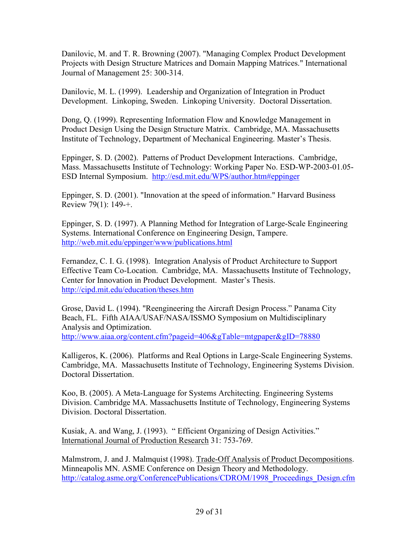Danilovic, M. and T. R. Browning (2007). "Managing Complex Product Development Projects with Design Structure Matrices and Domain Mapping Matrices." International Journal of Management 25: 300-314.

Danilovic, M. L. (1999). Leadership and Organization of Integration in Product Development. Linkoping, Sweden. Linkoping University. Doctoral Dissertation.

Dong, Q. (1999). Representing Information Flow and Knowledge Management in Product Design Using the Design Structure Matrix. Cambridge, MA. Massachusetts Institute of Technology, Department of Mechanical Engineering. Master's Thesis.

Eppinger, S. D. (2002). Patterns of Product Development Interactions. Cambridge, Mass. Massachusetts Institute of Technology: Working Paper No. ESD-WP-2003-01.05- ESD Internal Symposium. http://esd.mit.edu/WPS/author.htm#eppinger

Eppinger, S. D. (2001). "Innovation at the speed of information." Harvard Business Review 79(1): 149-+.

Eppinger, S. D. (1997). A Planning Method for Integration of Large-Scale Engineering Systems. International Conference on Engineering Design, Tampere. http://web.mit.edu/eppinger/www/publications.html

Fernandez, C. I. G. (1998). Integration Analysis of Product Architecture to Support Effective Team Co-Location. Cambridge, MA. Massachusetts Institute of Technology, Center for Innovation in Product Development. Master's Thesis. http://cipd.mit.edu/education/theses.htm

Grose, David L. (1994). "Reengineering the Aircraft Design Process." Panama City Beach, FL. Fifth AIAA/USAF/NASA/ISSMO Symposium on Multidisciplinary Analysis and Optimization. http://www.aiaa.org/content.cfm?pageid=406&gTable=mtgpaper&gID=78880

Kalligeros, K. (2006). Platforms and Real Options in Large-Scale Engineering Systems. Cambridge, MA. Massachusetts Institute of Technology, Engineering Systems Division. Doctoral Dissertation.

Koo, B. (2005). A Meta-Language for Systems Architecting. Engineering Systems Division. Cambridge MA. Massachusetts Institute of Technology, Engineering Systems Division. Doctoral Dissertation.

Kusiak, A. and Wang, J. (1993). " Efficient Organizing of Design Activities." International Journal of Production Research 31: 753-769.

Malmstrom, J. and J. Malmquist (1998). Trade-Off Analysis of Product Decompositions. Minneapolis MN. ASME Conference on Design Theory and Methodology. http://catalog.asme.org/ConferencePublications/CDROM/1998 Proceedings Design.cfm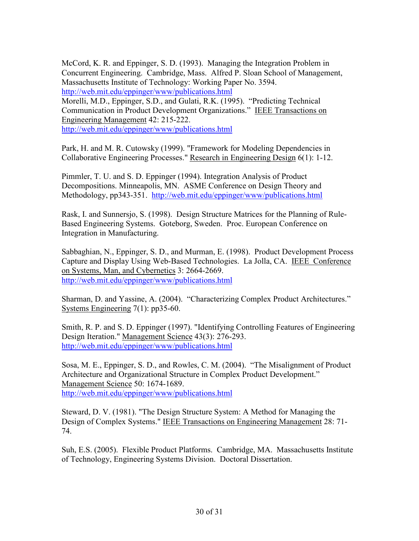McCord, K. R. and Eppinger, S. D. (1993). Managing the Integration Problem in Concurrent Engineering. Cambridge, Mass. Alfred P. Sloan School of Management, Massachusetts Institute of Technology: Working Paper No. 3594. http://web.mit.edu/eppinger/www/publications.html

Morelli, M.D., Eppinger, S.D., and Gulati, R.K. (1995). "Predicting Technical Communication in Product Development Organizations." IEEE Transactions on Engineering Management 42: 215-222. http://web.mit.edu/eppinger/www/publications.html

Park, H. and M. R. Cutowsky (1999). "Framework for Modeling Dependencies in Collaborative Engineering Processes." Research in Engineering Design 6(1): 1-12.

Pimmler, T. U. and S. D. Eppinger (1994). Integration Analysis of Product Decompositions. Minneapolis, MN. ASME Conference on Design Theory and Methodology, pp343-351. http://web.mit.edu/eppinger/www/publications.html

Rask, I. and Sunnersjo, S. (1998). Design Structure Matrices for the Planning of Rule-Based Engineering Systems. Goteborg, Sweden. Proc. European Conference on Integration in Manufacturing.

Sabbaghian, N., Eppinger, S. D., and Murman, E. (1998). Product Development Process Capture and Display Using Web-Based Technologies. La Jolla, CA. IEEE Conference on Systems, Man, and Cybernetics 3: 2664-2669. http://web.mit.edu/eppinger/www/publications.html

Sharman, D. and Yassine, A. (2004). "Characterizing Complex Product Architectures." Systems Engineering 7(1): pp35-60.

Smith, R. P. and S. D. Eppinger (1997). "Identifying Controlling Features of Engineering Design Iteration." Management Science 43(3): 276-293. http://web.mit.edu/eppinger/www/publications.html

Sosa, M. E., Eppinger, S. D., and Rowles, C. M. (2004). "The Misalignment of Product Architecture and Organizational Structure in Complex Product Development." Management Science 50: 1674-1689. http://web.mit.edu/eppinger/www/publications.html

Steward, D. V. (1981). "The Design Structure System: A Method for Managing the Design of Complex Systems." IEEE Transactions on Engineering Management 28: 71- 74.

Suh, E.S. (2005). Flexible Product Platforms. Cambridge, MA. Massachusetts Institute of Technology, Engineering Systems Division. Doctoral Dissertation.